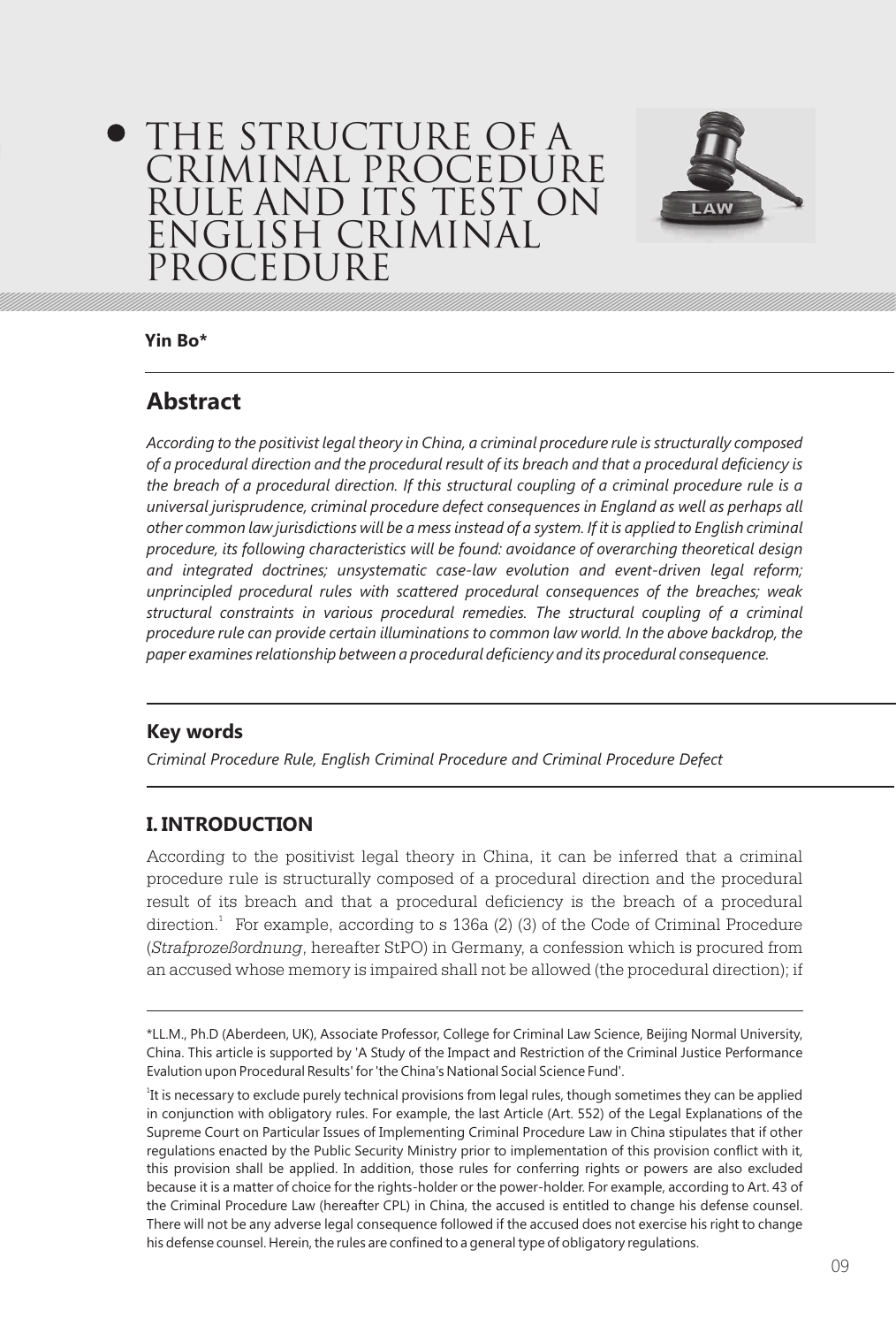# THE STRUCTURE OF A CRIMINAL PROCEDURE RULE AND ITS TEST ON ENGLISH CRIMINAL PROCEDUR



**Yin Bo\***

# **Abstract**

*According to the positivist legal theory in China, a criminal procedure rule is structurally composed of a procedural direction and the procedural result of its breach and that a procedural deficiency is the breach of a procedural direction. If this structural coupling of a criminal procedure rule is a universal jurisprudence, criminal procedure defect consequences in England as well as perhaps all other common law jurisdictions will be a mess instead of a system. If it is applied to English criminal procedure, its following characteristics will be found: avoidance of overarching theoretical design and integrated doctrines; unsystematic case-law evolution and event-driven legal reform; unprincipled procedural rules with scattered procedural consequences of the breaches; weak structural constraints in various procedural remedies. The structural coupling of a criminal procedure rule can provide certain illuminations to common law world. In the above backdrop, the paper examines relationship between a procedural deficiency and its procedural consequence.*

# **Key words**

*Criminal Procedure Rule, English Criminal Procedure and Criminal Procedure Defect* 

# **I. INTRODUCTION**

According to the positivist legal theory in China, it can be inferred that a criminal procedure rule is structurally composed of a procedural direction and the procedural result of its breach and that a procedural deficiency is the breach of a procedural direction.<sup>1</sup> For example, according to s 136a (2) (3) of the Code of Criminal Procedure (*Strafprozeßordnung*, hereafter StPO) in Germany, a confession which is procured from an accused whose memory is impaired shall not be allowed (the procedural direction); if

<sup>\*</sup>LL.M., Ph.D (Aberdeen, UK), Associate Professor, College for Criminal Law Science, Beijing Normal University, China. This article is supported by 'A Study of the Impact and Restriction of the Criminal Justice Performance Evalution upon Procedural Results' for 'the China's National Social Science Fund'.

<sup>&</sup>lt;sup>1</sup>It is necessary to exclude purely technical provisions from legal rules, though sometimes they can be applied in conjunction with obligatory rules. For example, the last Article (Art. 552) of the Legal Explanations of the Supreme Court on Particular Issues of Implementing Criminal Procedure Law in China stipulates that if other regulations enacted by the Public Security Ministry prior to implementation of this provision conflict with it, this provision shall be applied. In addition, those rules for conferring rights or powers are also excluded because it is a matter of choice for the rights-holder or the power-holder. For example, according to Art. 43 of the Criminal Procedure Law (hereafter CPL) in China, the accused is entitled to change his defense counsel. There will not be any adverse legal consequence followed if the accused does not exercise his right to change his defense counsel. Herein, the rules are confined to a general type of obligatory regulations.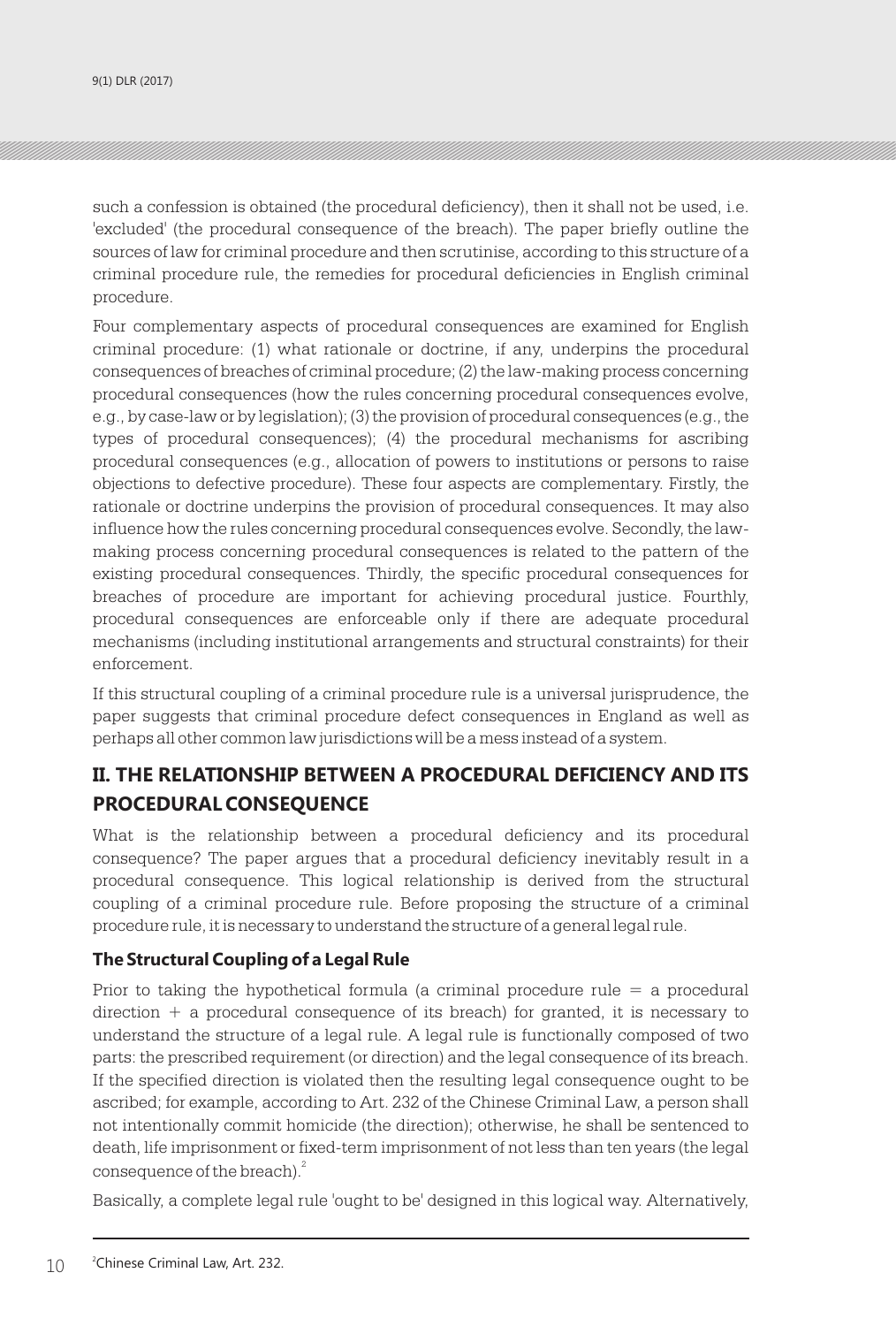such a confession is obtained (the procedural deficiency), then it shall not be used, i.e. 'excluded' (the procedural consequence of the breach). The paper briefly outline the sources of law for criminal procedure and then scrutinise, according to this structure of a criminal procedure rule, the remedies for procedural deficiencies in English criminal procedure.

Four complementary aspects of procedural consequences are examined for English criminal procedure: (1) what rationale or doctrine, if any, underpins the procedural consequences of breaches of criminal procedure; (2) the law-making process concerning procedural consequences (how the rules concerning procedural consequences evolve, e.g., by case-law or by legislation); (3) the provision of procedural consequences (e.g., the types of procedural consequences); (4) the procedural mechanisms for ascribing procedural consequences (e.g., allocation of powers to institutions or persons to raise objections to defective procedure). These four aspects are complementary. Firstly, the rationale or doctrine underpins the provision of procedural consequences. It may also influence how the rules concerning procedural consequences evolve. Secondly, the lawmaking process concerning procedural consequences is related to the pattern of the existing procedural consequences. Thirdly, the specific procedural consequences for breaches of procedure are important for achieving procedural justice. Fourthly, procedural consequences are enforceable only if there are adequate procedural mechanisms (including institutional arrangements and structural constraints) for their enforcement.

If this structural coupling of a criminal procedure rule is a universal jurisprudence, the paper suggests that criminal procedure defect consequences in England as well as perhaps all other common law jurisdictions will be a mess instead of a system.

# **II. THE RELATIONSHIP BETWEEN A PROCEDURAL DEFICIENCY AND ITS PROCEDURAL CONSEQUENCE**

What is the relationship between a procedural deficiency and its procedural consequence? The paper argues that a procedural deficiency inevitably result in a procedural consequence. This logical relationship is derived from the structural coupling of a criminal procedure rule. Before proposing the structure of a criminal procedure rule, it is necessary to understand the structure of a general legal rule.

## **The Structural Coupling of a Legal Rule**

Prior to taking the hypothetical formula (a criminal procedure rule = a procedural  $direction + a procedural consequence of its breach) for granted, it is necessary to$ understand the structure of a legal rule. A legal rule is functionally composed of two parts: the prescribed requirement (or direction) and the legal consequence of its breach. If the specified direction is violated then the resulting legal consequence ought to be ascribed; for example, according to Art. 232 of the Chinese Criminal Law, a person shall not intentionally commit homicide (the direction); otherwise, he shall be sentenced to death, life imprisonment or fixed-term imprisonment of not less than ten years (the legal consequence of the breach).<sup>2</sup>

Basically, a complete legal rule 'ought to be' designed in this logical way. Alternatively,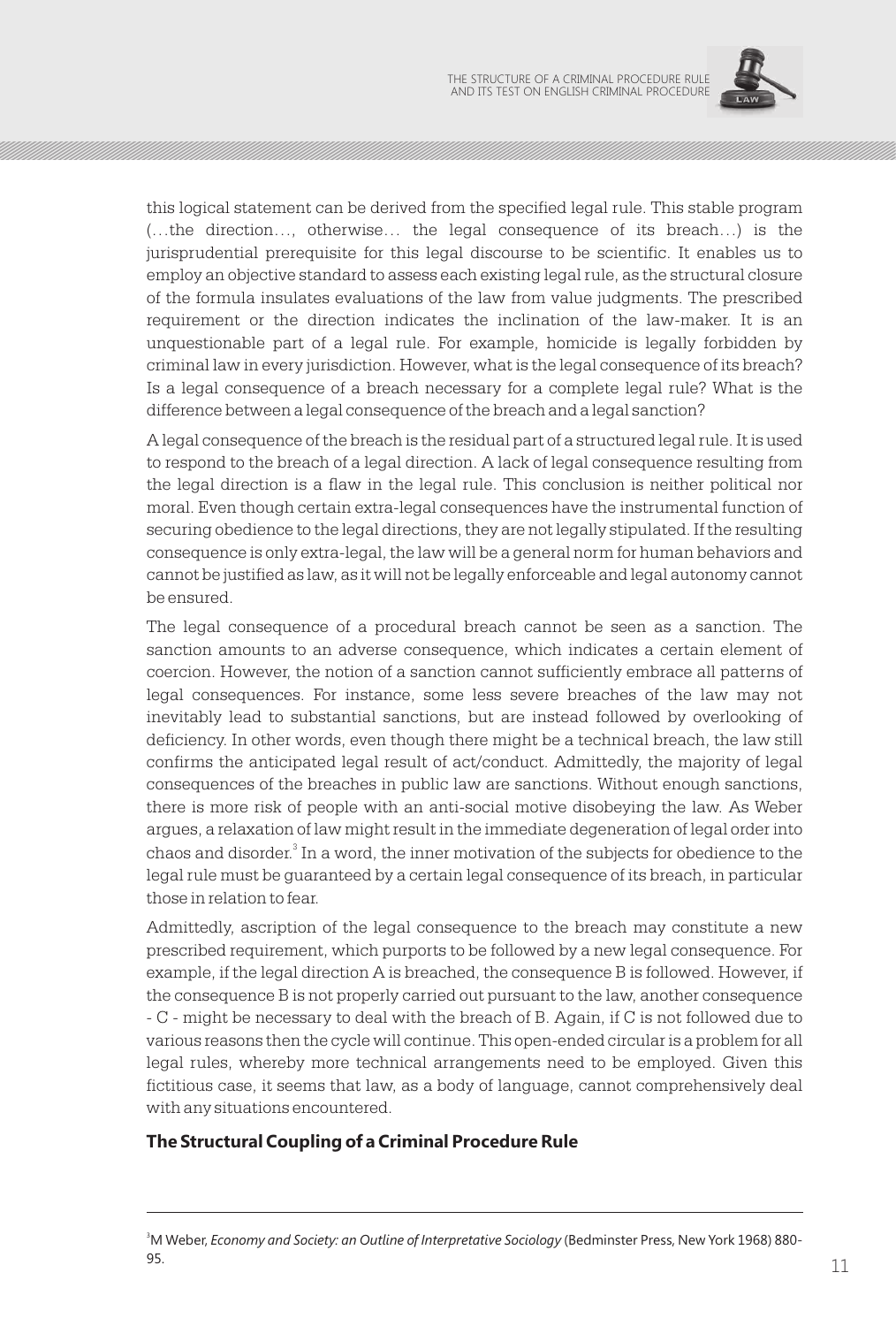

this logical statement can be derived from the specified legal rule. This stable program (…the direction…, otherwise… the legal consequence of its breach…) is the jurisprudential prerequisite for this legal discourse to be scientific. It enables us to employ an objective standard to assess each existing legal rule, as the structural closure of the formula insulates evaluations of the law from value judgments. The prescribed requirement or the direction indicates the inclination of the law-maker. It is an unquestionable part of a legal rule. For example, homicide is legally forbidden by criminal law in every jurisdiction. However, what is the legal consequence of its breach? Is a legal consequence of a breach necessary for a complete legal rule? What is the difference between a legal consequence of the breach and a legal sanction?

A legal consequence of the breach is the residual part of a structured legal rule. It is used to respond to the breach of a legal direction. A lack of legal consequence resulting from the legal direction is a flaw in the legal rule. This conclusion is neither political nor moral. Even though certain extra-legal consequences have the instrumental function of securing obedience to the legal directions, they are not legally stipulated. If the resulting consequence is only extra-legal, the law will be a general norm for human behaviors and cannot be justified as law, as it will not be legally enforceable and legal autonomy cannot be ensured.

The legal consequence of a procedural breach cannot be seen as a sanction. The sanction amounts to an adverse consequence, which indicates a certain element of coercion. However, the notion of a sanction cannot sufficiently embrace all patterns of legal consequences. For instance, some less severe breaches of the law may not inevitably lead to substantial sanctions, but are instead followed by overlooking of deficiency. In other words, even though there might be a technical breach, the law still confirms the anticipated legal result of act/conduct. Admittedly, the majority of legal consequences of the breaches in public law are sanctions. Without enough sanctions, there is more risk of people with an anti-social motive disobeying the law. As Weber argues, a relaxation of law might result in the immediate degeneration of legal order into chaos and disorder. $^{\rm 3}$  In a word, the inner motivation of the subjects for obedience to the legal rule must be guaranteed by a certain legal consequence of its breach, in particular those in relation to fear.

Admittedly, ascription of the legal consequence to the breach may constitute a new prescribed requirement, which purports to be followed by a new legal consequence. For example, if the legal direction A is breached, the consequence B is followed. However, if the consequence B is not properly carried out pursuant to the law, another consequence - C - might be necessary to deal with the breach of B. Again, if C is not followed due to various reasons then the cycle will continue. This open-ended circular is a problem for all legal rules, whereby more technical arrangements need to be employed. Given this fictitious case, it seems that law, as a body of language, cannot comprehensively deal with any situations encountered.

## **The Structural Coupling of a Criminal Procedure Rule**

<sup>3</sup>M Weber, *Economy and Society: an Outline of Interpretative Sociology* (Bedminster Press, New York 1968) 880- **95.** 11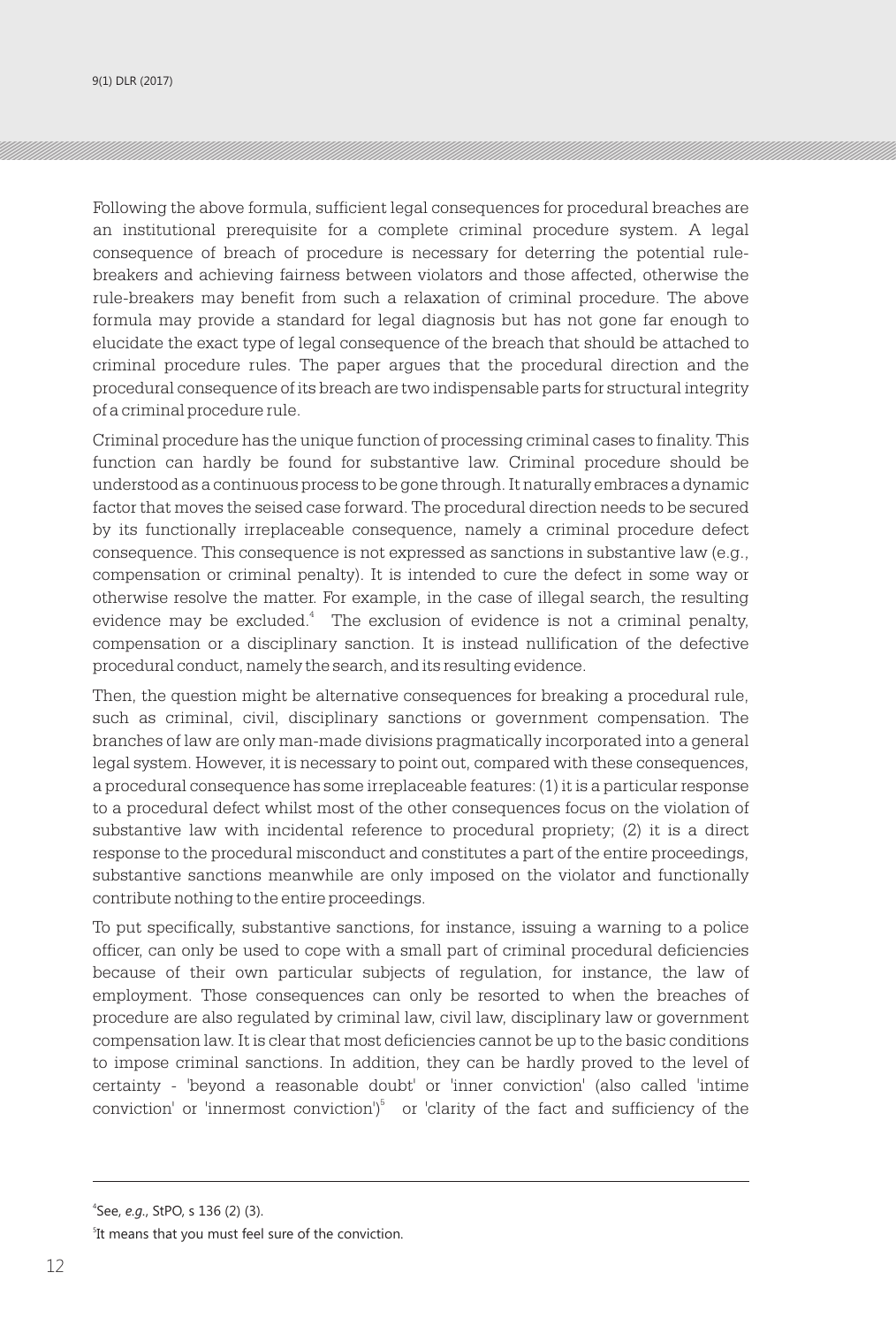9(1) DLR (2017)

Following the above formula, sufficient legal consequences for procedural breaches are an institutional prerequisite for a complete criminal procedure system. A legal consequence of breach of procedure is necessary for deterring the potential rulebreakers and achieving fairness between violators and those affected, otherwise the rule-breakers may benefit from such a relaxation of criminal procedure. The above formula may provide a standard for legal diagnosis but has not gone far enough to elucidate the exact type of legal consequence of the breach that should be attached to criminal procedure rules. The paper argues that the procedural direction and the procedural consequence of its breach are two indispensable parts for structural integrity of a criminal procedure rule.

Criminal procedure has the unique function of processing criminal cases to finality. This function can hardly be found for substantive law. Criminal procedure should be understood as a continuous process to be gone through. It naturally embraces a dynamic factor that moves the seised case forward. The procedural direction needs to be secured by its functionally irreplaceable consequence, namely a criminal procedure defect consequence. This consequence is not expressed as sanctions in substantive law (e.g., compensation or criminal penalty). It is intended to cure the defect in some way or otherwise resolve the matter. For example, in the case of illegal search, the resulting evidence may be excluded.<sup>4</sup> The exclusion of evidence is not a criminal penalty, compensation or a disciplinary sanction. It is instead nullification of the defective procedural conduct, namely the search, and its resulting evidence.

Then, the question might be alternative consequences for breaking a procedural rule, such as criminal, civil, disciplinary sanctions or government compensation. The branches of law are only man-made divisions pragmatically incorporated into a general legal system. However, it is necessary to point out, compared with these consequences, a procedural consequence has some irreplaceable features: (1) it is a particular response to a procedural defect whilst most of the other consequences focus on the violation of substantive law with incidental reference to procedural propriety; (2) it is a direct response to the procedural misconduct and constitutes a part of the entire proceedings, substantive sanctions meanwhile are only imposed on the violator and functionally contribute nothing to the entire proceedings.

To put specifically, substantive sanctions, for instance, issuing a warning to a police officer, can only be used to cope with a small part of criminal procedural deficiencies because of their own particular subjects of regulation, for instance, the law of employment. Those consequences can only be resorted to when the breaches of procedure are also regulated by criminal law, civil law, disciplinary law or government compensation law. It is clear that most deficiencies cannot be up to the basic conditions to impose criminal sanctions. In addition, they can be hardly proved to the level of certainty - 'beyond a reasonable doubt' or 'inner conviction' (also called 'intime conviction' or 'innermost conviction')<sup>5</sup> or 'clarity of the fact and sufficiency of the

<sup>4</sup> See, *e.g.*, StPO, s 136 (2) (3).

<sup>&</sup>lt;sup>5</sup>It means that you must feel sure of the conviction.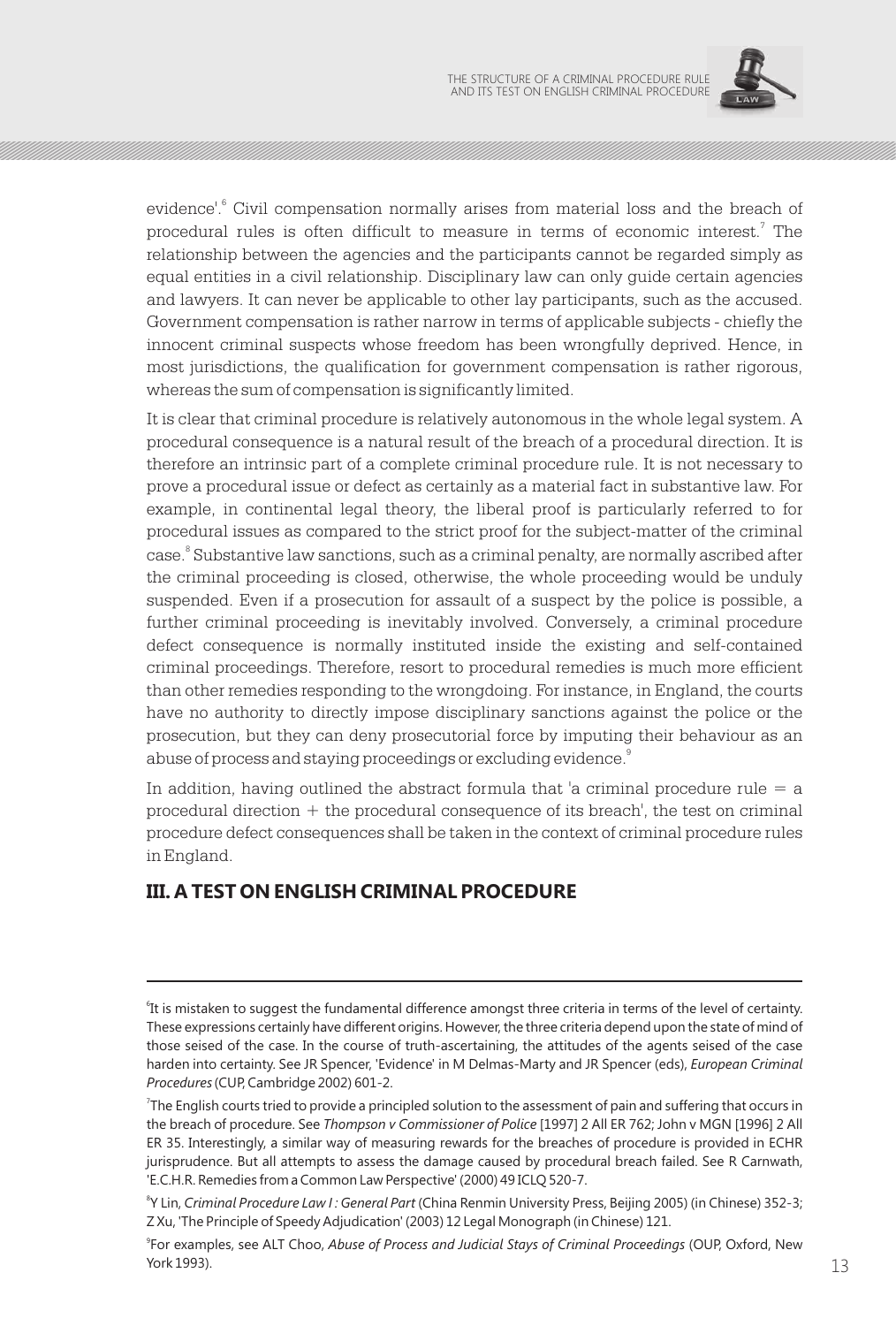

evidence'.<sup>6</sup> Civil compensation normally arises from material loss and the breach of procedural rules is often difficult to measure in terms of economic interest.<sup>7</sup> The relationship between the agencies and the participants cannot be regarded simply as equal entities in a civil relationship. Disciplinary law can only guide certain agencies and lawyers. It can never be applicable to other lay participants, such as the accused. Government compensation is rather narrow in terms of applicable subjects - chiefly the innocent criminal suspects whose freedom has been wrongfully deprived. Hence, in most jurisdictions, the qualification for government compensation is rather rigorous, whereas the sum of compensation is significantly limited.

It is clear that criminal procedure is relatively autonomous in the whole legal system. A procedural consequence is a natural result of the breach of a procedural direction. It is therefore an intrinsic part of a complete criminal procedure rule. It is not necessary to prove a procedural issue or defect as certainly as a material fact in substantive law. For example, in continental legal theory, the liberal proof is particularly referred to for procedural issues as compared to the strict proof for the subject-matter of the criminal case.<sup>8</sup> Substantive law sanctions, such as a criminal penalty, are normally ascribed after the criminal proceeding is closed, otherwise, the whole proceeding would be unduly suspended. Even if a prosecution for assault of a suspect by the police is possible, a further criminal proceeding is inevitably involved. Conversely, a criminal procedure defect consequence is normally instituted inside the existing and self-contained criminal proceedings. Therefore, resort to procedural remedies is much more efficient than other remedies responding to the wrongdoing. For instance, in England, the courts have no authority to directly impose disciplinary sanctions against the police or the prosecution, but they can deny prosecutorial force by imputing their behaviour as an abuse of process and staying proceedings or excluding evidence.  $^{\circ}$ 

In addition, having outlined the abstract formula that 'a criminal procedure rule  $=$  a procedural direction + the procedural consequence of its breach', the test on criminal procedure defect consequences shall be taken in the context of criminal procedure rules in England.

# **III. A TEST ON ENGLISH CRIMINAL PROCEDURE**

9 For examples, see ALT Choo, *Abuse of Process and Judicial Stays of Criminal Proceedings* (OUP, Oxford, New  $13$  York 1993).

<sup>&</sup>lt;sup>6</sup>It is mistaken to suggest the fundamental difference amongst three criteria in terms of the level of certainty. These expressions certainly have different origins. However, the three criteria depend upon the state of mind of those seised of the case. In the course of truth-ascertaining, the attitudes of the agents seised of the case harden into certainty. See JR Spencer, 'Evidence' in M Delmas-Marty and JR Spencer (eds), *European Criminal Procedures* (CUP, Cambridge 2002) 601-2.

<sup>7</sup> The English courts tried to provide a principled solution to the assessment of pain and suffering that occurs in the breach of procedure. See *Thompson v Commissioner of Police* [1997] 2 All ER 762; John v MGN [1996] 2 All ER 35. Interestingly, a similar way of measuring rewards for the breaches of procedure is provided in ECHR jurisprudence. But all attempts to assess the damage caused by procedural breach failed. See R Carnwath, 'E.C.H.R. Remedies from a Common Law Perspective' (2000) 49 ICLQ 520-7.

<sup>8</sup> Y Lin, *Criminal Procedure Law I : General Part* (China Renmin University Press, Beijing 2005) (in Chinese) 352-3; Z Xu, 'The Principle of Speedy Adjudication' (2003) 12 Legal Monograph (in Chinese) 121.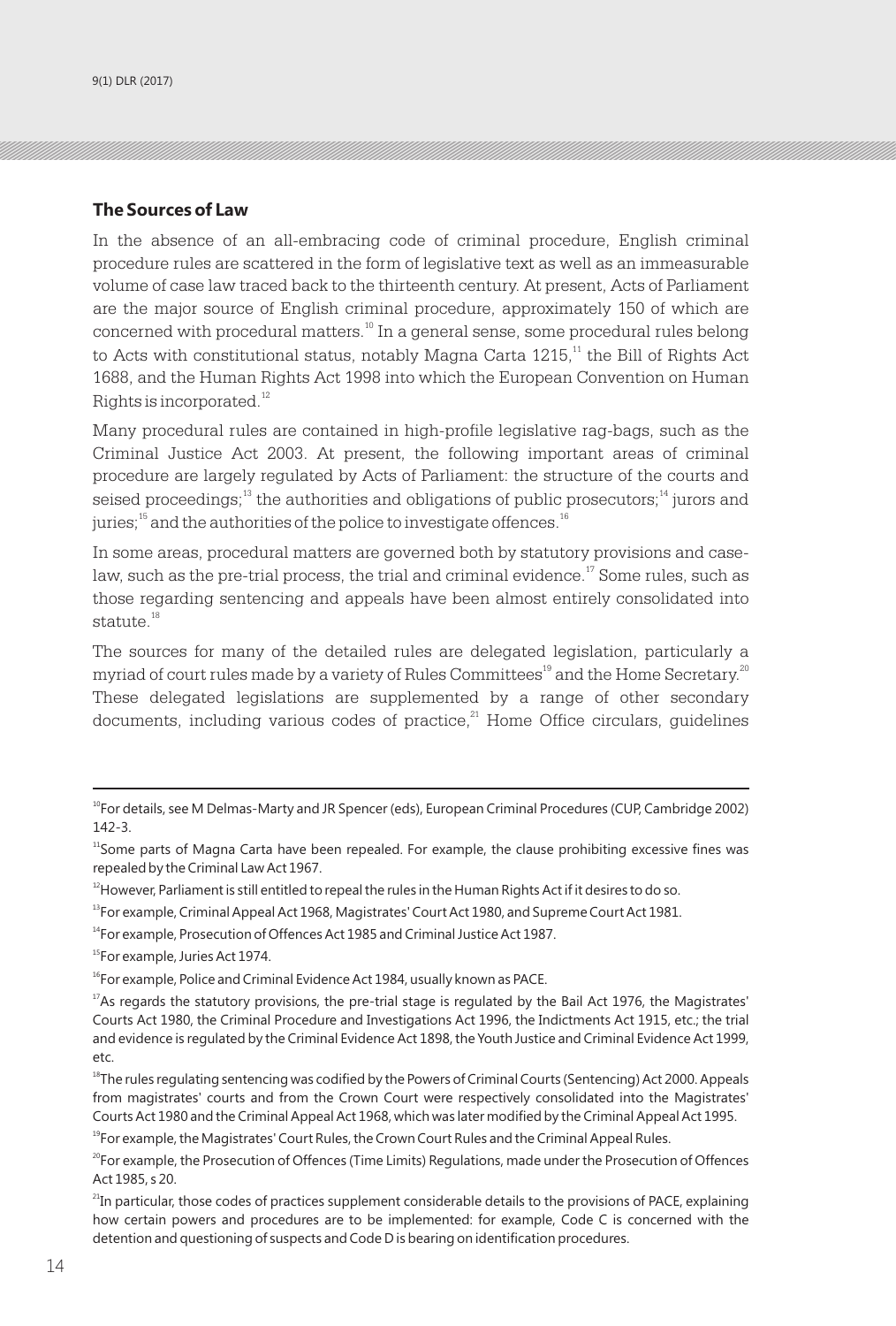#### **The Sources of Law**

In the absence of an all-embracing code of criminal procedure, English criminal procedure rules are scattered in the form of legislative text as well as an immeasurable volume of case law traced back to the thirteenth century. At present, Acts of Parliament are the major source of English criminal procedure, approximately 150 of which are concerned with procedural matters.<sup>10</sup> In a general sense, some procedural rules belong to Acts with constitutional status, notably Magna Carta  $1215$ ,<sup> $11$ </sup> the Bill of Rights Act 1688, and the Human Rights Act 1998 into which the European Convention on Human Rights is incorporated.<sup>12</sup>

Many procedural rules are contained in high-profile legislative rag-bags, such as the Criminal Justice Act 2003. At present, the following important areas of criminal procedure are largely regulated by Acts of Parliament: the structure of the courts and seised proceedings;  $13$  the authorities and obligations of public prosecutors;  $14$  jurors and juries;  $15$  and the authorities of the police to investigate offences.  $16$ 

In some areas, procedural matters are governed both by statutory provisions and caselaw, such as the pre-trial process, the trial and criminal evidence.<sup> $17$ </sup> Some rules, such as those regarding sentencing and appeals have been almost entirely consolidated into statute.<sup>18</sup>

The sources for many of the detailed rules are delegated legislation, particularly a myriad of court rules made by a variety of Rules Committees<sup>19</sup> and the Home Secretary.<sup>20</sup> These delegated legislations are supplemented by a range of other secondary  $\alpha$ <sup>21</sup> documents, including various codes of practice, $\alpha$ <sup>21</sup> Home Office circulars, guidelines

<sup>&</sup>lt;sup>10</sup>For details, see M Delmas-Marty and JR Spencer (eds), European Criminal Procedures (CUP, Cambridge 2002) 142-3.

<sup>&</sup>lt;sup>11</sup>Some parts of Magna Carta have been repealed. For example, the clause prohibiting excessive fines was repealed by the Criminal Law Act 1967.

 $12$ However, Parliament is still entitled to repeal the rules in the Human Rights Act if it desires to do so.

 $13$ For example, Criminal Appeal Act 1968, Magistrates' Court Act 1980, and Supreme Court Act 1981.

<sup>&</sup>lt;sup>14</sup>For example, Prosecution of Offences Act 1985 and Criminal Justice Act 1987.

<sup>&</sup>lt;sup>15</sup>For example, Juries Act 1974.

<sup>&</sup>lt;sup>16</sup>For example, Police and Criminal Evidence Act 1984, usually known as PACE.

 $17$ As regards the statutory provisions, the pre-trial stage is regulated by the Bail Act 1976, the Magistrates' Courts Act 1980, the Criminal Procedure and Investigations Act 1996, the Indictments Act 1915, etc.; the trial and evidence is regulated by the Criminal Evidence Act 1898, the Youth Justice and Criminal Evidence Act 1999, etc.

<sup>&</sup>lt;sup>18</sup>The rules regulating sentencing was codified by the Powers of Criminal Courts (Sentencing) Act 2000. Appeals from magistrates' courts and from the Crown Court were respectively consolidated into the Magistrates' Courts Act 1980 and the Criminal Appeal Act 1968, which was later modified by the Criminal Appeal Act 1995.

<sup>&</sup>lt;sup>19</sup>For example, the Magistrates' Court Rules, the Crown Court Rules and the Criminal Appeal Rules.

<sup>&</sup>lt;sup>20</sup>For example, the Prosecution of Offences (Time Limits) Regulations, made under the Prosecution of Offences Act 1985, s 20.

<sup>&</sup>lt;sup>21</sup>In particular, those codes of practices supplement considerable details to the provisions of PACE, explaining how certain powers and procedures are to be implemented: for example, Code C is concerned with the detention and questioning of suspects and Code D is bearing on identification procedures.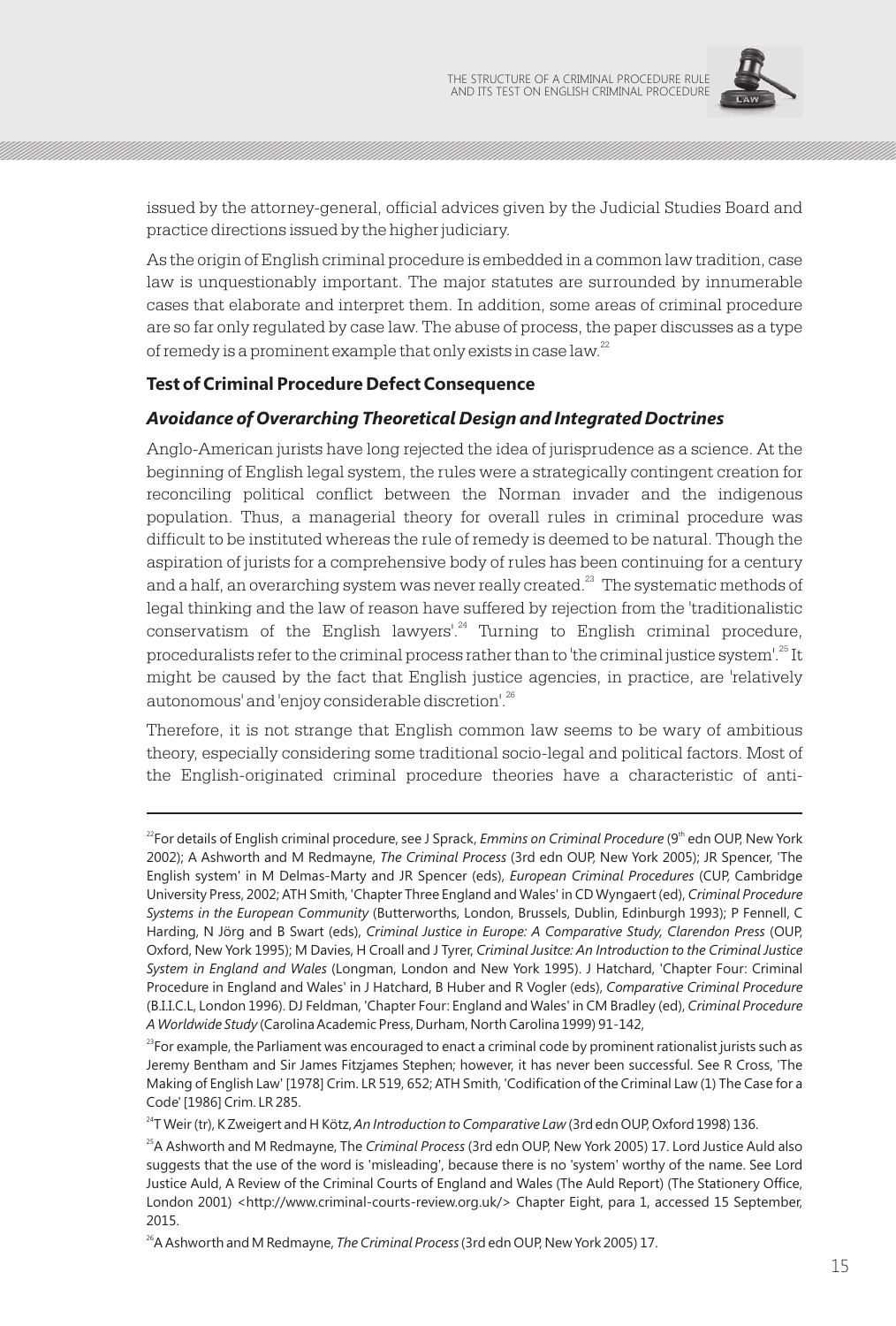

issued by the attorney-general, official advices given by the Judicial Studies Board and practice directions issued by the higher judiciary.

As the origin of English criminal procedure is embedded in a common law tradition, case law is unquestionably important. The major statutes are surrounded by innumerable cases that elaborate and interpret them. In addition, some areas of criminal procedure are so far only regulated by case law. The abuse of process, the paper discusses as a type of remedy is a prominent example that only exists in case law.<sup>22</sup>

#### **Test of Criminal Procedure Defect Consequence**

#### *Avoidance of Overarching Theoretical Design and Integrated Doctrines*

Anglo-American jurists have long rejected the idea of jurisprudence as a science. At the beginning of English legal system, the rules were a strategically contingent creation for reconciling political conflict between the Norman invader and the indigenous population. Thus, a managerial theory for overall rules in criminal procedure was difficult to be instituted whereas the rule of remedy is deemed to be natural. Though the aspiration of jurists for a comprehensive body of rules has been continuing for a century and a half, an overarching system was never really created. $^{23}$  The systematic methods of legal thinking and the law of reason have suffered by rejection from the 'traditionalistic conservatism of the English lawyers'.<sup>24</sup> Turning to English criminal procedure, proceduralists refer to the criminal process rather than to 'the criminal justice system'.<sup>25</sup> It might be caused by the fact that English justice agencies, in practice, are 'relatively autonomous' and 'enjoy considerable discretion'.<sup>26</sup>

Therefore, it is not strange that English common law seems to be wary of ambitious theory, especially considering some traditional socio-legal and political factors. Most of the English-originated criminal procedure theories have a characteristic of anti-

<sup>26</sup>A Ashworth and M Redmayne, *The Criminal Process* (3rd edn OUP, New York 2005) 17.

<sup>&</sup>lt;sup>22</sup> For details of English criminal procedure, see J Sprack, *Emmins on Criminal Procedure* (9<sup>th</sup> edn OUP, New York 2002); A Ashworth and M Redmayne, *The Criminal Process* (3rd edn OUP, New York 2005); JR Spencer, 'The English system' in M Delmas-Marty and JR Spencer (eds), *European Criminal Procedures* (CUP, Cambridge University Press, 2002; ATH Smith, 'Chapter Three England and Wales' in CD Wyngaert (ed), *Criminal Procedure Systems in the European Community* (Butterworths, London, Brussels, Dublin, Edinburgh 1993); P Fennell, C Harding, N Jörg and B Swart (eds), *Criminal Justice in Europe: A Comparative Study, Clarendon Press* (OUP, Oxford, New York 1995); M Davies, H Croall and J Tyrer, *Criminal Jusitce: An Introduction to the Criminal Justice System in England and Wales* (Longman, London and New York 1995). J Hatchard, 'Chapter Four: Criminal Procedure in England and Wales' in J Hatchard, B Huber and R Vogler (eds), *Comparative Criminal Procedure* (B.I.I.C.L, London 1996). DJ Feldman, 'Chapter Four: England and Wales' in CM Bradley (ed), *Criminal Procedure A Worldwide Study* (Carolina Academic Press, Durham, North Carolina 1999) 91-142,

 $^{23}$ For example, the Parliament was encouraged to enact a criminal code by prominent rationalist jurists such as Jeremy Bentham and Sir James Fitzjames Stephen; however, it has never been successful. See R Cross, 'The Making of English Law' [1978] Crim. LR 519, 652; ATH Smith, 'Codification of the Criminal Law (1) The Case for a Code' [1986] Crim. LR 285.

<sup>24</sup>T Weir (tr), K Zweigert and H Kötz, *An Introduction to Comparative Law* (3rd edn OUP, Oxford 1998) 136.

<sup>25</sup>A Ashworth and M Redmayne, The *Criminal Process* (3rd edn OUP, New York 2005) 17. Lord Justice Auld also suggests that the use of the word is 'misleading', because there is no 'system' worthy of the name. See Lord Justice Auld, A Review of the Criminal Courts of England and Wales (The Auld Report) (The Stationery Office, London 2001) <http://www.criminal-courts-review.org.uk/> Chapter Eight, para 1, accessed 15 September, 2015.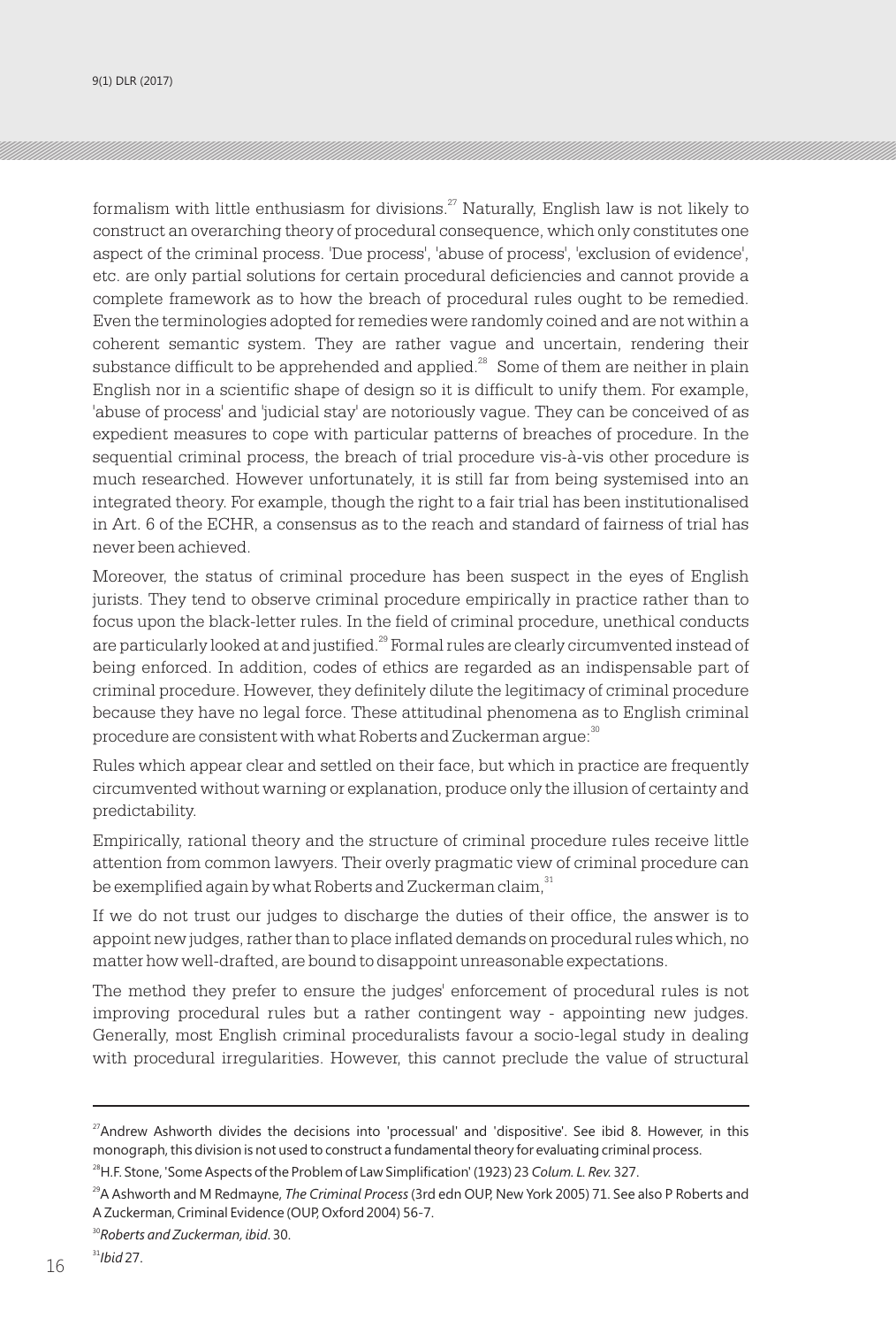formalism with little enthusiasm for divisions. $27$  Naturally, English law is not likely to construct an overarching theory of procedural consequence, which only constitutes one aspect of the criminal process. 'Due process', 'abuse of process', 'exclusion of evidence', etc. are only partial solutions for certain procedural deficiencies and cannot provide a complete framework as to how the breach of procedural rules ought to be remedied. Even the terminologies adopted for remedies were randomly coined and are not within a coherent semantic system. They are rather vague and uncertain, rendering their substance difficult to be apprehended and applied. $^{28}$  Some of them are neither in plain English nor in a scientific shape of design so it is difficult to unify them. For example, 'abuse of process' and 'judicial stay' are notoriously vague. They can be conceived of as expedient measures to cope with particular patterns of breaches of procedure. In the sequential criminal process, the breach of trial procedure vis-à-vis other procedure is much researched. However unfortunately, it is still far from being systemised into an integrated theory. For example, though the right to a fair trial has been institutionalised in Art. 6 of the ECHR, a consensus as to the reach and standard of fairness of trial has never been achieved.

Moreover, the status of criminal procedure has been suspect in the eyes of English jurists. They tend to observe criminal procedure empirically in practice rather than to focus upon the black-letter rules. In the field of criminal procedure, unethical conducts are particularly looked at and justified.<sup>29</sup> Formal rules are clearly circumvented instead of being enforced. In addition, codes of ethics are regarded as an indispensable part of criminal procedure. However, they definitely dilute the legitimacy of criminal procedure because they have no legal force. These attitudinal phenomena as to English criminal procedure are consistent with what Roberts and Zuckerman argue:<sup>30</sup>

Rules which appear clear and settled on their face, but which in practice are frequently circumvented without warning or explanation, produce only the illusion of certainty and predictability.

Empirically, rational theory and the structure of criminal procedure rules receive little attention from common lawyers. Their overly pragmatic view of criminal procedure can be exemplified again by what Roberts and Zuckerman claim,  $31$ 

If we do not trust our judges to discharge the duties of their office, the answer is to appoint new judges, rather than to place inflated demands on procedural rules which, no matter how well-drafted, are bound to disappoint unreasonable expectations.

The method they prefer to ensure the judges' enforcement of procedural rules is not improving procedural rules but a rather contingent way - appointing new judges. Generally, most English criminal proceduralists favour a socio-legal study in dealing with procedural irregularities. However, this cannot preclude the value of structural

<sup>31</sup>*Ibid* 27.

<sup>&</sup>lt;sup>27</sup>Andrew Ashworth divides the decisions into 'processual' and 'dispositive'. See ibid 8. However, in this monograph, this division is not used to construct a fundamental theory for evaluating criminal process.

<sup>28</sup>H.F. Stone, 'Some Aspects of the Problem of Law Simplification' (1923) 23 *Colum. L. Rev.* 327.

<sup>29</sup>A Ashworth and M Redmayne, *The Criminal Process* (3rd edn OUP, New York 2005) 71. See also P Roberts and A Zuckerman, Criminal Evidence (OUP, Oxford 2004) 56-7.

<sup>30</sup>*Roberts and Zuckerman, ibid*. 30.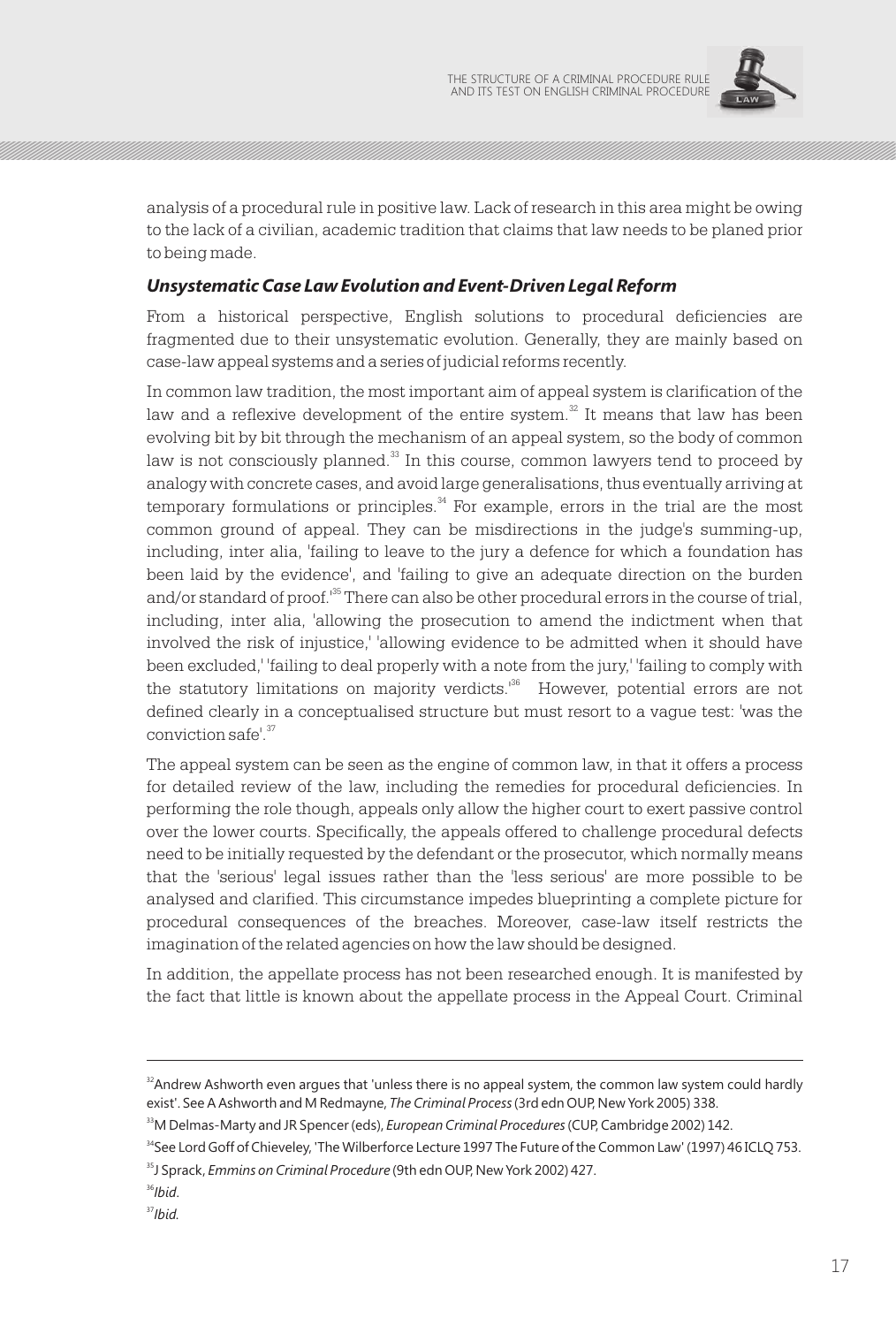

analysis of a procedural rule in positive law. Lack of research in this area might be owing to the lack of a civilian, academic tradition that claims that law needs to be planed prior to being made.

## *Unsystematic Case Law Evolution and Event-Driven Legal Reform*

From a historical perspective, English solutions to procedural deficiencies are fragmented due to their unsystematic evolution. Generally, they are mainly based on case-law appeal systems and a series of judicial reforms recently.

In common law tradition, the most important aim of appeal system is clarification of the law and a reflexive development of the entire system. $32$  It means that law has been evolving bit by bit through the mechanism of an appeal system, so the body of common law is not consciously planned. $33$  In this course, common lawyers tend to proceed by analogy with concrete cases, and avoid large generalisations, thus eventually arriving at  $34$  temporary formulations or principles.<sup> $34$ </sup> For example, errors in the trial are the most common ground of appeal. They can be misdirections in the judge's summing-up, including, inter alia, 'failing to leave to the jury a defence for which a foundation has been laid by the evidence', and 'failing to give an adequate direction on the burden and/or standard of proof.<sup>35</sup> There can also be other procedural errors in the course of trial, including, inter alia, 'allowing the prosecution to amend the indictment when that involved the risk of injustice,' 'allowing evidence to be admitted when it should have been excluded,' 'failing to deal properly with a note from the jury,' 'failing to comply with the statutory limitations on majority verdicts.<sup>136</sup> However, potential errors are not defined clearly in a conceptualised structure but must resort to a vague test: 'was the conviction safe<sup>'37</sup>

The appeal system can be seen as the engine of common law, in that it offers a process for detailed review of the law, including the remedies for procedural deficiencies. In performing the role though, appeals only allow the higher court to exert passive control over the lower courts. Specifically, the appeals offered to challenge procedural defects need to be initially requested by the defendant or the prosecutor, which normally means that the 'serious' legal issues rather than the 'less serious' are more possible to be analysed and clarified. This circumstance impedes blueprinting a complete picture for procedural consequences of the breaches. Moreover, case-law itself restricts the imagination of the related agencies on how the law should be designed.

In addition, the appellate process has not been researched enough. It is manifested by the fact that little is known about the appellate process in the Appeal Court. Criminal

<sup>&</sup>lt;sup>32</sup>Andrew Ashworth even argues that 'unless there is no appeal system, the common law system could hardly exist'. See A Ashworth and M Redmayne, *The Criminal Process* (3rd edn OUP, New York 2005) 338.

<sup>33</sup>M Delmas-Marty and JR Spencer (eds), *European Criminal Procedures* (CUP, Cambridge 2002) 142.

<sup>&</sup>lt;sup>34</sup>See Lord Goff of Chieveley, 'The Wilberforce Lecture 1997 The Future of the Common Law' (1997) 46 ICLQ 753.

<sup>35</sup>J Sprack, *Emmins on Criminal Procedure* (9th edn OUP, New York 2002) 427.

<sup>36</sup>*Ibid*.

<sup>37</sup>*Ibid.*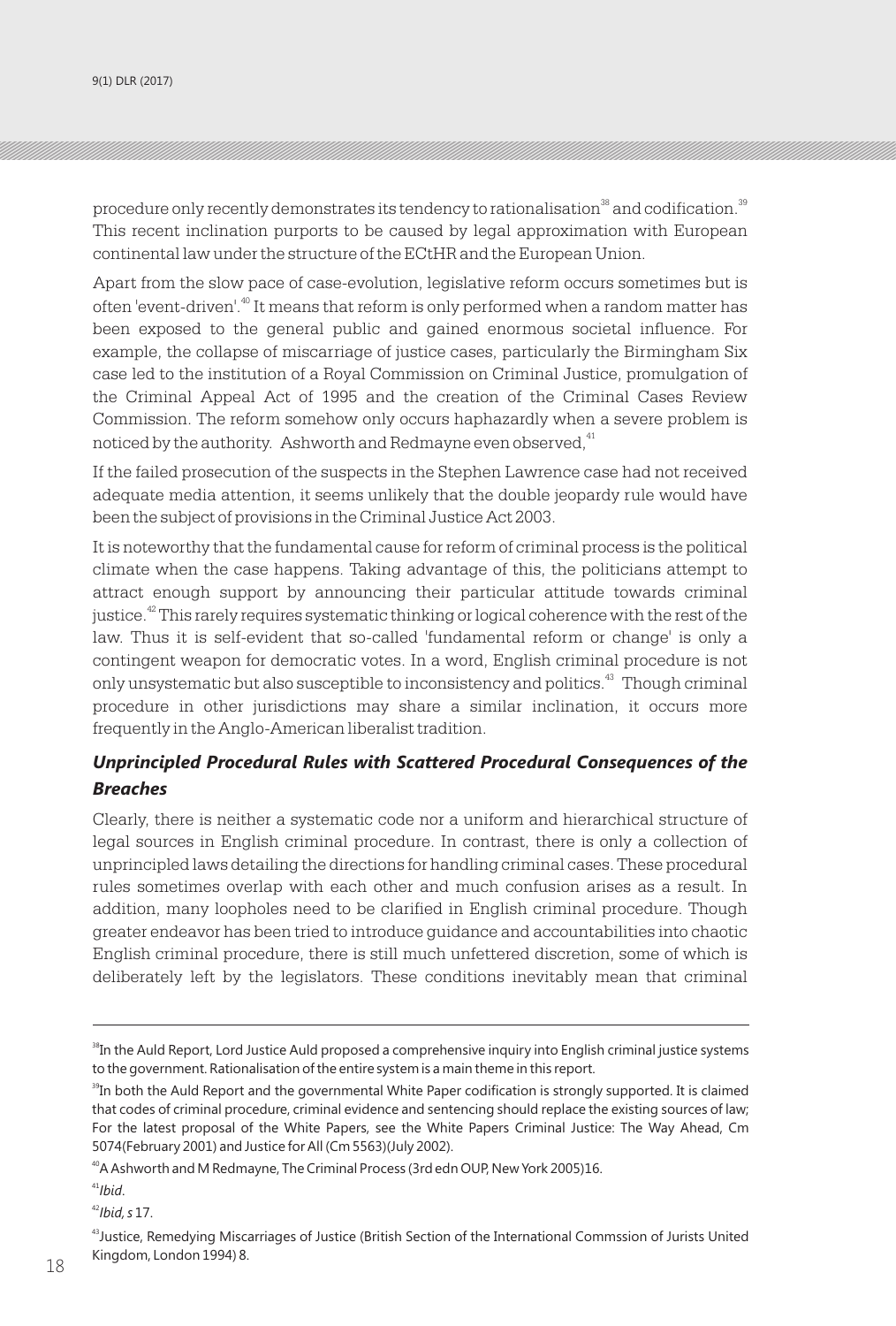procedure only recently demonstrates its tendency to rationalisation<sup>38</sup> and codification.<sup>39</sup> This recent inclination purports to be caused by legal approximation with European continental law under the structure of the ECtHR and the European Union.

Apart from the slow pace of case-evolution, legislative reform occurs sometimes but is often 'event-driven'.<sup>40</sup> It means that reform is only performed when a random matter has been exposed to the general public and gained enormous societal influence. For example, the collapse of miscarriage of justice cases, particularly the Birmingham Six case led to the institution of a Royal Commission on Criminal Justice, promulgation of the Criminal Appeal Act of 1995 and the creation of the Criminal Cases Review Commission. The reform somehow only occurs haphazardly when a severe problem is noticed by the authority. Ashworth and Redmayne even observed, <sup>41</sup>

If the failed prosecution of the suspects in the Stephen Lawrence case had not received adequate media attention, it seems unlikely that the double jeopardy rule would have been the subject of provisions in the Criminal Justice Act 2003.

It is noteworthy that the fundamental cause for reform of criminal process is the political climate when the case happens. Taking advantage of this, the politicians attempt to attract enough support by announcing their particular attitude towards criminal justice.  $42$  This rarely requires systematic thinking or logical coherence with the rest of the law. Thus it is self-evident that so-called 'fundamental reform or change' is only a contingent weapon for democratic votes. In a word, English criminal procedure is not only unsystematic but also susceptible to inconsistency and politics.<sup>43</sup> Though criminal procedure in other jurisdictions may share a similar inclination, it occurs more frequently in the Anglo-American liberalist tradition.

## *Unprincipled Procedural Rules with Scattered Procedural Consequences of the Breaches*

Clearly, there is neither a systematic code nor a uniform and hierarchical structure of legal sources in English criminal procedure. In contrast, there is only a collection of unprincipled laws detailing the directions for handling criminal cases. These procedural rules sometimes overlap with each other and much confusion arises as a result. In addition, many loopholes need to be clarified in English criminal procedure. Though greater endeavor has been tried to introduce guidance and accountabilities into chaotic English criminal procedure, there is still much unfettered discretion, some of which is deliberately left by the legislators. These conditions inevitably mean that criminal

<sup>41</sup>*Ibid*.

<sup>&</sup>lt;sup>38</sup>In the Auld Report, Lord Justice Auld proposed a comprehensive inquiry into English criminal justice systems to the government. Rationalisation of the entire system is a main theme in this report.

<sup>&</sup>lt;sup>39</sup>In both the Auld Report and the governmental White Paper codification is strongly supported. It is claimed that codes of criminal procedure, criminal evidence and sentencing should replace the existing sources of law; For the latest proposal of the White Papers, see the White Papers Criminal Justice: The Way Ahead, Cm 5074(February 2001) and Justice for All (Cm 5563)(July 2002).

<sup>&</sup>lt;sup>40</sup>A Ashworth and M Redmayne, The Criminal Process (3rd edn OUP, New York 2005)16.

<sup>42</sup>*Ibid, s* 17.

<sup>&</sup>lt;sup>43</sup>Justice, Remedying Miscarriages of Justice (British Section of the International Commssion of Jurists United Kingdom, London 1994) 8. 18 19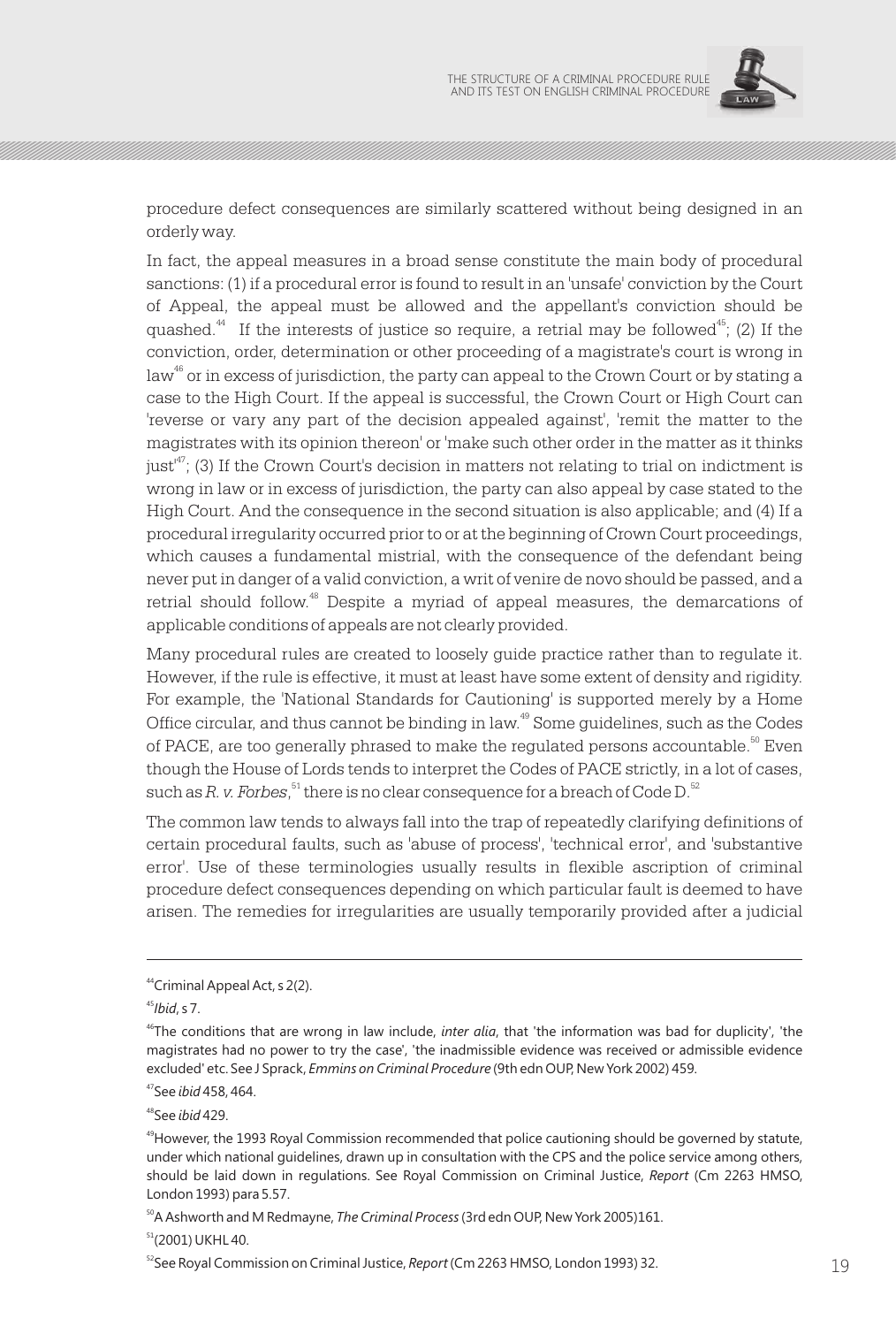

procedure defect consequences are similarly scattered without being designed in an orderly way.

In fact, the appeal measures in a broad sense constitute the main body of procedural sanctions: (1) if a procedural error is found to result in an 'unsafe' conviction by the Court of Appeal, the appeal must be allowed and the appellant's conviction should be quashed.<sup>44</sup> If the interests of justice so require, a retrial may be followed<sup>45</sup>; (2) If the conviction, order, determination or other proceeding of a magistrate's court is wrong in  $\alpha^{46}$  or in excess of jurisdiction, the party can appeal to the Crown Court or by stating a case to the High Court. If the appeal is successful, the Crown Court or High Court can 'reverse or vary any part of the decision appealed against', 'remit the matter to the magistrates with its opinion thereon' or 'make such other order in the matter as it thinks  $\text{just}^{\text{47}}$ ; (3) If the Crown Court's decision in matters not relating to trial on indictment is wrong in law or in excess of jurisdiction, the party can also appeal by case stated to the High Court. And the consequence in the second situation is also applicable; and (4) If a procedural irregularity occurred prior to or at the beginning of Crown Court proceedings, which causes a fundamental mistrial, with the consequence of the defendant being never put in danger of a valid conviction, a writ of venire de novo should be passed, and a retrial should follow.<sup>48</sup> Despite a myriad of appeal measures, the demarcations of applicable conditions of appeals are not clearly provided.

Many procedural rules are created to loosely guide practice rather than to regulate it. However, if the rule is effective, it must at least have some extent of density and rigidity. For example, the 'National Standards for Cautioning' is supported merely by a Home Office circular, and thus cannot be binding in law.<sup>49</sup> Some guidelines, such as the Codes of PACE, are too generally phrased to make the regulated persons accountable.  $E^{\text{60}}$  Even though the House of Lords tends to interpret the Codes of PACE strictly, in a lot of cases, such as *R. v. Forbes*, <sup>51</sup> there is no clear consequence for a breach of Code D.<sup>52</sup>

The common law tends to always fall into the trap of repeatedly clarifying definitions of certain procedural faults, such as 'abuse of process', 'technical error', and 'substantive error'. Use of these terminologies usually results in flexible ascription of criminal procedure defect consequences depending on which particular fault is deemed to have arisen. The remedies for irregularities are usually temporarily provided after a judicial

<sup>48</sup>See *ibid* 429.

<sup>50</sup>A Ashworth and M Redmayne, *The Criminal Process* (3rd edn OUP, New York 2005)161.

 $51$ (2001) UKHL 40.

<sup>52</sup>See Royal Commission on Criminal Justice, *Report* (Cm 2263 HMSO, London 1993) 32. 2014

<sup>44</sup>Criminal Appeal Act, s 2(2).

<sup>45</sup>*Ibid*, s 7.

<sup>46</sup>The conditions that are wrong in law include, *inter alia*, that 'the information was bad for duplicity', 'the magistrates had no power to try the case', 'the inadmissible evidence was received or admissible evidence excluded' etc. See J Sprack, *Emmins on Criminal Procedure* (9th edn OUP, New York 2002) 459.

<sup>47</sup>See *ibid* 458, 464.

<sup>&</sup>lt;sup>49</sup>However, the 1993 Royal Commission recommended that police cautioning should be governed by statute, under which national guidelines, drawn up in consultation with the CPS and the police service among others, should be laid down in regulations. See Royal Commission on Criminal Justice, *Report* (Cm 2263 HMSO, London 1993) para 5.57.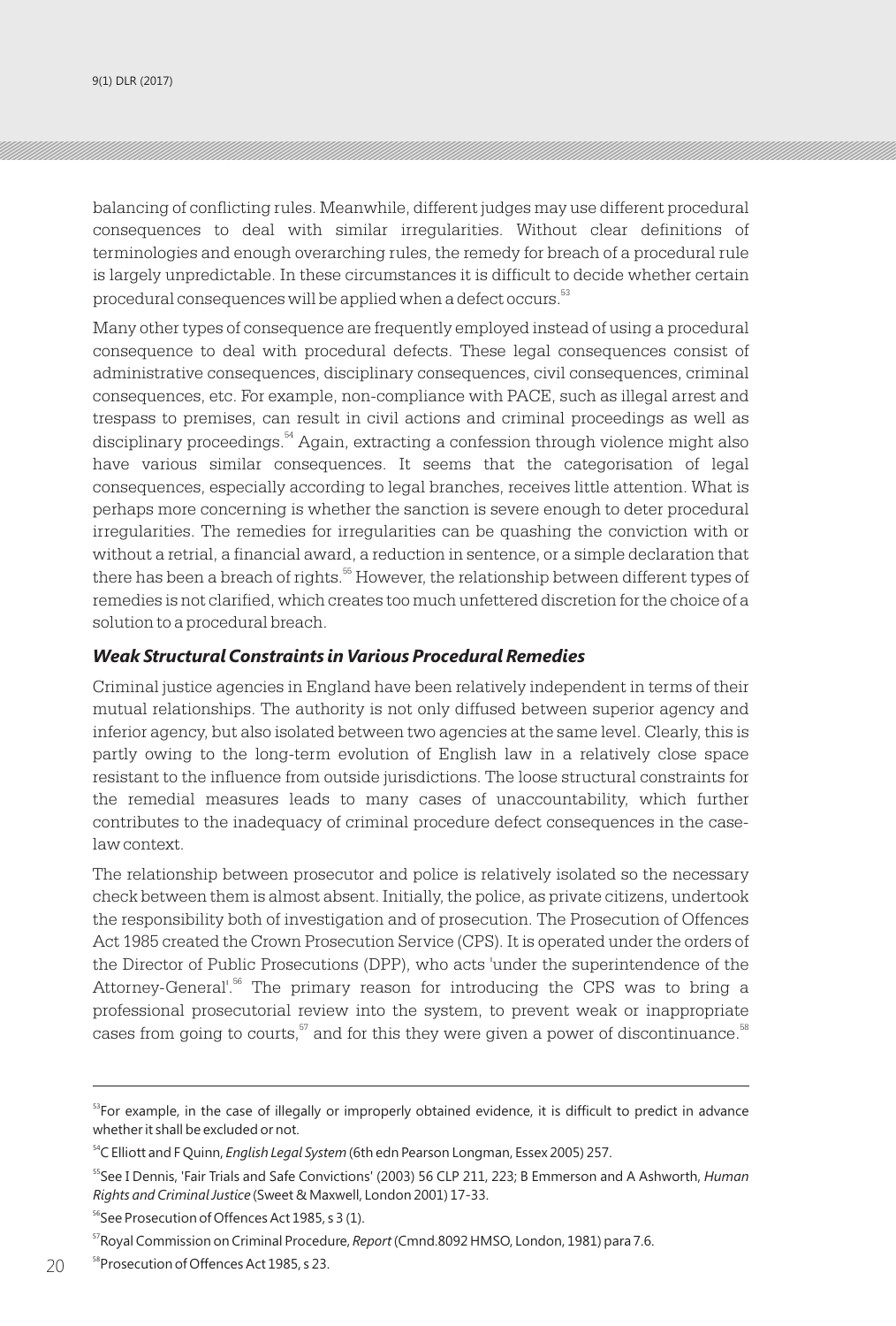9(1) DLR (2017)

balancing of conflicting rules. Meanwhile, different judges may use different procedural consequences to deal with similar irregularities. Without clear definitions of terminologies and enough overarching rules, the remedy for breach of a procedural rule is largely unpredictable. In these circumstances it is difficult to decide whether certain procedural consequences will be applied when a defect occurs.<sup>53</sup>

Many other types of consequence are frequently employed instead of using a procedural consequence to deal with procedural defects. These legal consequences consist of administrative consequences, disciplinary consequences, civil consequences, criminal consequences, etc. For example, non-compliance with PACE, such as illegal arrest and trespass to premises, can result in civil actions and criminal proceedings as well as disciplinary proceedings.<sup>54</sup> Again, extracting a confession through violence might also have various similar consequences. It seems that the categorisation of legal consequences, especially according to legal branches, receives little attention. What is perhaps more concerning is whether the sanction is severe enough to deter procedural irregularities. The remedies for irregularities can be quashing the conviction with or without a retrial, a financial award, a reduction in sentence, or a simple declaration that there has been a breach of rights.<sup>55</sup> However, the relationship between different types of remedies is not clarified, which creates too much unfettered discretion for the choice of a solution to a procedural breach.

#### *Weak Structural Constraints in Various Procedural Remedies*

Criminal justice agencies in England have been relatively independent in terms of their mutual relationships. The authority is not only diffused between superior agency and inferior agency, but also isolated between two agencies at the same level. Clearly, this is partly owing to the long-term evolution of English law in a relatively close space resistant to the influence from outside jurisdictions. The loose structural constraints for the remedial measures leads to many cases of unaccountability, which further contributes to the inadequacy of criminal procedure defect consequences in the caselaw context.

The relationship between prosecutor and police is relatively isolated so the necessary check between them is almost absent. Initially, the police, as private citizens, undertook the responsibility both of investigation and of prosecution. The Prosecution of Offences Act 1985 created the Crown Prosecution Service (CPS). It is operated under the orders of the Director of Public Prosecutions (DPP), who acts 'under the superintendence of the Attorney-General'.<sup>56</sup> The primary reason for introducing the CPS was to bring a professional prosecutorial review into the system, to prevent weak or inappropriate cases from going to courts,  $57$  and for this they were given a power of discontinuance.  $58$ 

<sup>&</sup>lt;sup>53</sup>For example, in the case of illegally or improperly obtained evidence, it is difficult to predict in advance whether it shall be excluded or not.

<sup>54</sup>C Elliott and F Quinn, *English Legal System* (6th edn Pearson Longman, Essex 2005) 257.

<sup>55</sup>See I Dennis, 'Fair Trials and Safe Convictions' (2003) 56 CLP 211, 223; B Emmerson and A Ashworth, *Human Rights and Criminal Justice* (Sweet & Maxwell, London 2001) 17-33.

<sup>&</sup>lt;sup>56</sup>See Prosecution of Offences Act 1985, s 3 (1).

<sup>57</sup>Royal Commission on Criminal Procedure, *Report* (Cmnd.8092 HMSO, London, 1981) para 7.6.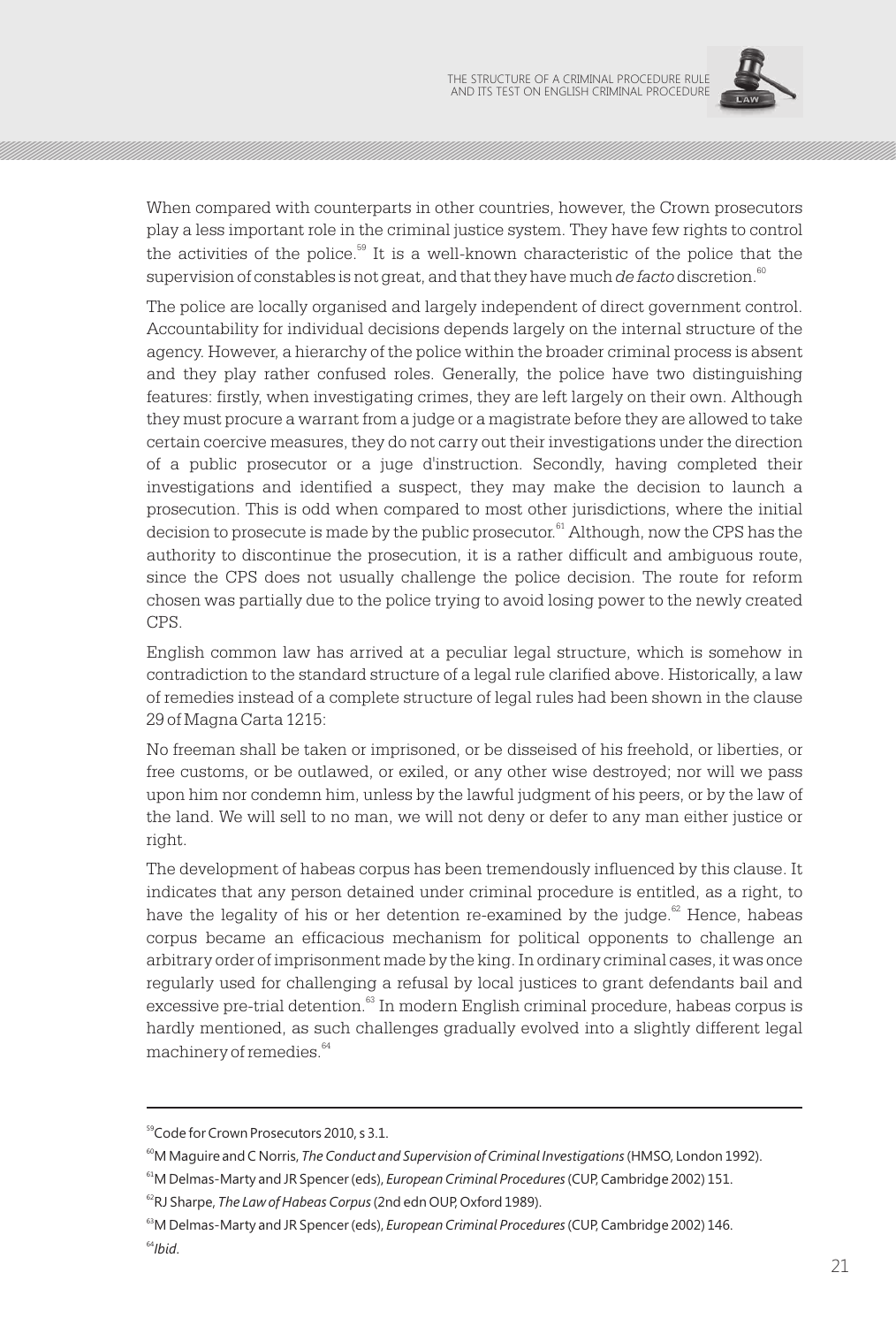

When compared with counterparts in other countries, however, the Crown prosecutors play a less important role in the criminal justice system. They have few rights to control the activities of the police.<sup>59</sup> It is a well-known characteristic of the police that the supervision of constables is not great, and that they have much *de facto* discretion.<sup>60</sup>

The police are locally organised and largely independent of direct government control. Accountability for individual decisions depends largely on the internal structure of the agency. However, a hierarchy of the police within the broader criminal process is absent and they play rather confused roles. Generally, the police have two distinguishing features: firstly, when investigating crimes, they are left largely on their own. Although they must procure a warrant from a judge or a magistrate before they are allowed to take certain coercive measures, they do not carry out their investigations under the direction of a public prosecutor or a juge d'instruction. Secondly, having completed their investigations and identified a suspect, they may make the decision to launch a prosecution. This is odd when compared to most other jurisdictions, where the initial decision to prosecute is made by the public prosecutor.<sup>61</sup> Although, now the CPS has the authority to discontinue the prosecution, it is a rather difficult and ambiguous route, since the CPS does not usually challenge the police decision. The route for reform chosen was partially due to the police trying to avoid losing power to the newly created CPS.

English common law has arrived at a peculiar legal structure, which is somehow in contradiction to the standard structure of a legal rule clarified above. Historically, a law of remedies instead of a complete structure of legal rules had been shown in the clause 29 of Magna Carta 1215:

No freeman shall be taken or imprisoned, or be disseised of his freehold, or liberties, or free customs, or be outlawed, or exiled, or any other wise destroyed; nor will we pass upon him nor condemn him, unless by the lawful judgment of his peers, or by the law of the land. We will sell to no man, we will not deny or defer to any man either justice or right.

The development of habeas corpus has been tremendously influenced by this clause. It indicates that any person detained under criminal procedure is entitled, as a right, to have the legality of his or her detention re-examined by the judge.<sup>62</sup> Hence, habeas corpus became an efficacious mechanism for political opponents to challenge an arbitrary order of imprisonment made by the king. In ordinary criminal cases, it was once regularly used for challenging a refusal by local justices to grant defendants bail and excessive pre-trial detention.<sup>63</sup> In modern English criminal procedure, habeas corpus is hardly mentioned, as such challenges gradually evolved into a slightly different legal machinery of remedies. $64$ 

<sup>&</sup>lt;sup>59</sup>Code for Crown Prosecutors 2010, s 3.1.

<sup>&</sup>lt;sup>60</sup>M Maquire and C Norris, *The Conduct and Supervision of Criminal Investigations* (HMSO, London 1992).

<sup>61</sup>M Delmas-Marty and JR Spencer (eds), *European Criminal Procedures* (CUP, Cambridge 2002) 151.

<sup>62</sup>RJ Sharpe, *The Law of Habeas Corpus* (2nd edn OUP, Oxford 1989).

<sup>&</sup>lt;sup>63</sup>M Delmas-Marty and JR Spencer (eds), *European Criminal Procedures* (CUP, Cambridge 2002) 146. <sup>64</sup>*Ibid*.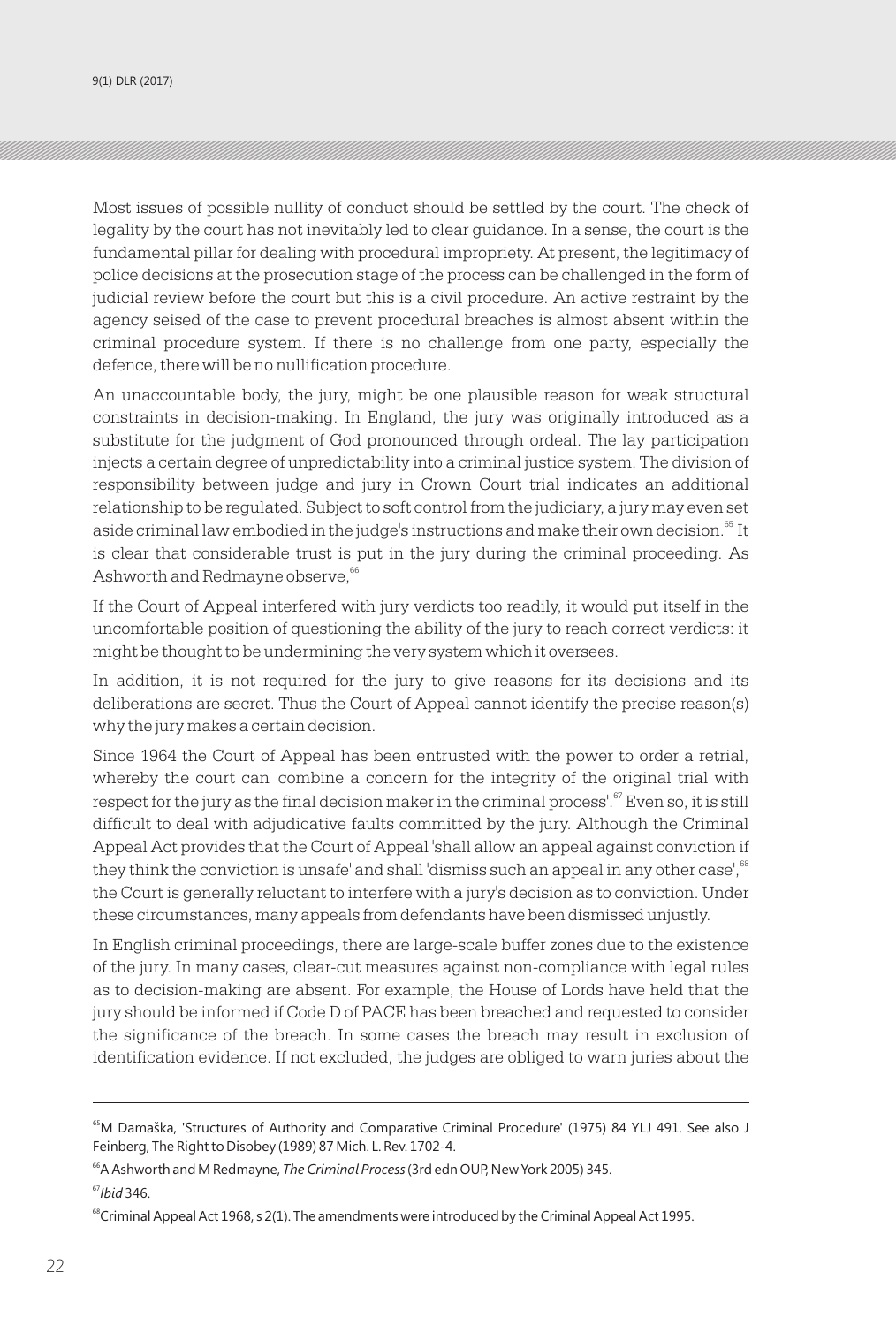Most issues of possible nullity of conduct should be settled by the court. The check of legality by the court has not inevitably led to clear guidance. In a sense, the court is the fundamental pillar for dealing with procedural impropriety. At present, the legitimacy of police decisions at the prosecution stage of the process can be challenged in the form of judicial review before the court but this is a civil procedure. An active restraint by the agency seised of the case to prevent procedural breaches is almost absent within the criminal procedure system. If there is no challenge from one party, especially the defence, there will be no nullification procedure.

An unaccountable body, the jury, might be one plausible reason for weak structural constraints in decision-making. In England, the jury was originally introduced as a substitute for the judgment of God pronounced through ordeal. The lay participation injects a certain degree of unpredictability into a criminal justice system. The division of responsibility between judge and jury in Crown Court trial indicates an additional relationship to be regulated. Subject to soft control from the judiciary, a jury may even set aside criminal law embodied in the judge's instructions and make their own decision.<sup>65</sup> It is clear that considerable trust is put in the jury during the criminal proceeding. As Ashworth and Redmayne observe, 66

If the Court of Appeal interfered with jury verdicts too readily, it would put itself in the uncomfortable position of questioning the ability of the jury to reach correct verdicts: it might be thought to be undermining the very system which it oversees.

In addition, it is not required for the jury to give reasons for its decisions and its deliberations are secret. Thus the Court of Appeal cannot identify the precise reason(s) why the jury makes a certain decision.

Since 1964 the Court of Appeal has been entrusted with the power to order a retrial, whereby the court can 'combine a concern for the integrity of the original trial with respect for the jury as the final decision maker in the criminal process'.<sup>67</sup> Even so, it is still difficult to deal with adjudicative faults committed by the jury. Although the Criminal Appeal Act provides that the Court of Appeal 'shall allow an appeal against conviction if they think the conviction is unsafe' and shall 'dismiss such an appeal in any other case', <sup>68</sup> the Court is generally reluctant to interfere with a jury's decision as to conviction. Under these circumstances, many appeals from defendants have been dismissed unjustly.

In English criminal proceedings, there are large-scale buffer zones due to the existence of the jury. In many cases, clear-cut measures against non-compliance with legal rules as to decision-making are absent. For example, the House of Lords have held that the jury should be informed if Code D of PACE has been breached and requested to consider the significance of the breach. In some cases the breach may result in exclusion of identification evidence. If not excluded, the judges are obliged to warn juries about the

<sup>&</sup>lt;sup>65</sup>M Damaška, 'Structures of Authority and Comparative Criminal Procedure' (1975) 84 YLJ 491. See also J Feinberg, The Right to Disobey (1989) 87 Mich. L. Rev. 1702-4.

<sup>&</sup>lt;sup>66</sup>A Ashworth and M Redmayne, *The Criminal Process* (3rd edn OUP, New York 2005) 345. <sup>67</sup>*Ibid* 346.

 $^{68}$ Criminal Appeal Act 1968, s 2(1). The amendments were introduced by the Criminal Appeal Act 1995.